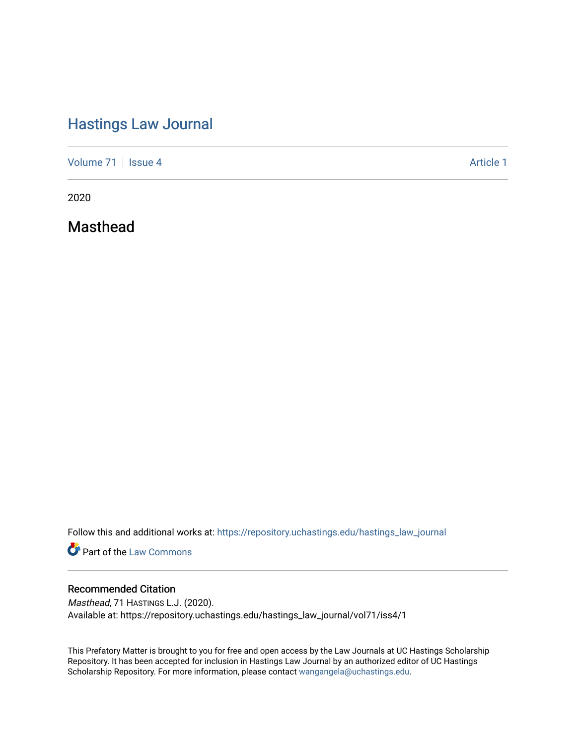## [Hastings Law Journal](https://repository.uchastings.edu/hastings_law_journal)

[Volume 71](https://repository.uchastings.edu/hastings_law_journal/vol71) | [Issue 4](https://repository.uchastings.edu/hastings_law_journal/vol71/iss4) Article 1

2020

Masthead

Follow this and additional works at: [https://repository.uchastings.edu/hastings\\_law\\_journal](https://repository.uchastings.edu/hastings_law_journal?utm_source=repository.uchastings.edu%2Fhastings_law_journal%2Fvol71%2Fiss4%2F1&utm_medium=PDF&utm_campaign=PDFCoverPages) 

**Part of the [Law Commons](http://network.bepress.com/hgg/discipline/578?utm_source=repository.uchastings.edu%2Fhastings_law_journal%2Fvol71%2Fiss4%2F1&utm_medium=PDF&utm_campaign=PDFCoverPages)** 

#### Recommended Citation

Masthead, 71 HASTINGS L.J. (2020). Available at: https://repository.uchastings.edu/hastings\_law\_journal/vol71/iss4/1

This Prefatory Matter is brought to you for free and open access by the Law Journals at UC Hastings Scholarship Repository. It has been accepted for inclusion in Hastings Law Journal by an authorized editor of UC Hastings Scholarship Repository. For more information, please contact [wangangela@uchastings.edu.](mailto:wangangela@uchastings.edu)